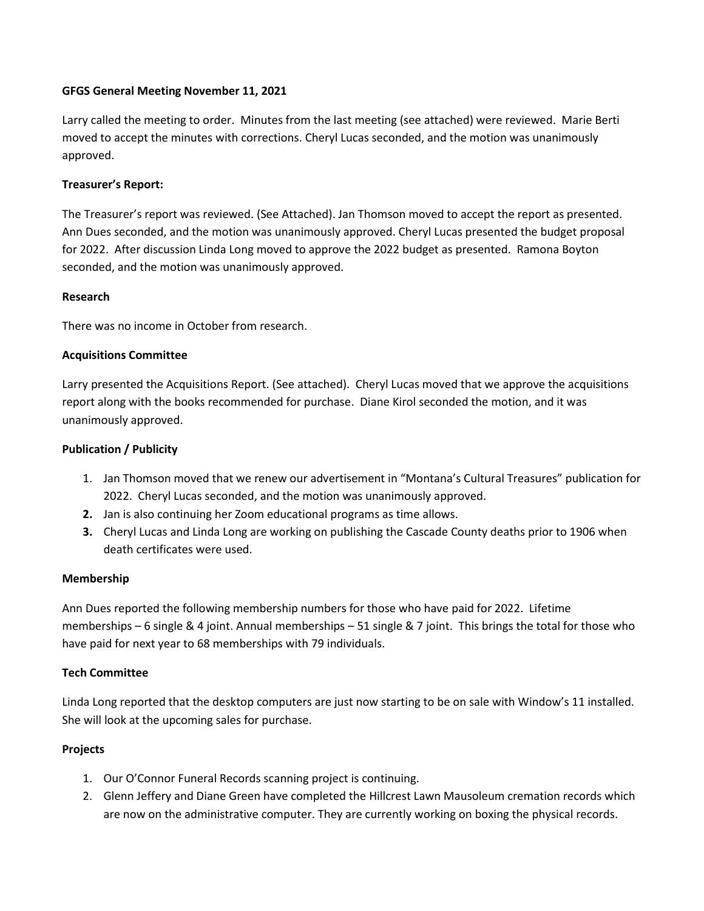## **GFGS General Meeting November 11, 2021**

Larry called the meeting to order. Minutes from the last meeting (see attached) were reviewed. Marie Berti moved to accept the minutes with corrections. Cheryl Lucas seconded, and the motion was unanimously approved.

# **Treasurer's Report:**

The Treasurer's report was reviewed. (See Attached). Jan Thomson moved to accept the report as presented. Ann Dues seconded, and the motion was unanimously approved. Cheryl Lucas presented the budget proposal for 2022. After discussion Linda Long moved to approve the 2022 budget as presented. Ramona Boyton seconded, and the motion was unanimously approved.

# **Research**

There was no income in October from research.

# **Acquisitions Committee**

Larry presented the Acquisitions Report. (See attached). Cheryl Lucas moved that we approve the acquisitions report along with the books recommended for purchase. Diane Kirol seconded the motion, and it was unanimously approved.

## **Publication / Publicity**

- 1. Jan Thomson moved that we renew our advertisement in "Montana's Cultural Treasures" publication for 2022. Cheryl Lucas seconded, and the motion was unanimously approved.
- **2.** Jan is also continuing her Zoom educational programs as time allows.
- **3.** Cheryl Lucas and Linda Long are working on publishing the Cascade County deaths prior to 1906 when death certificates were used.

#### **Membership**

Ann Dues reported the following membership numbers for those who have paid for 2022. Lifetime memberships – 6 single & 4 joint. Annual memberships – 51 single & 7 joint. This brings the total for those who have paid for next year to 68 memberships with 79 individuals.

# **Tech Committee**

Linda Long reported that the desktop computers are just now starting to be on sale with Window's 11 installed. She will look at the upcoming sales for purchase.

#### **Projects**

- 1. Our O'Connor Funeral Records scanning project is continuing.
- 2. Glenn Jeffery and Diane Green have completed the Hillcrest Lawn Mausoleum cremation records which are now on the administrative computer. They are currently working on boxing the physical records.